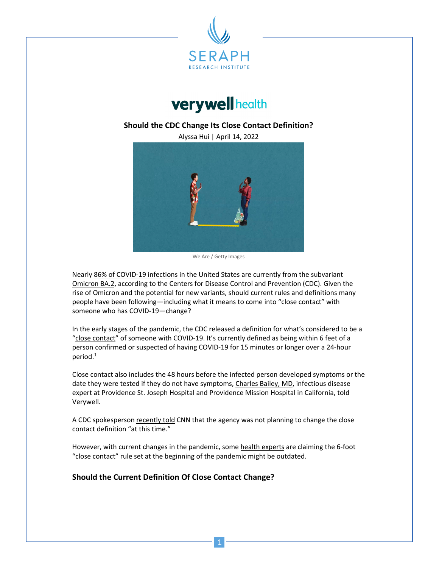



## **Should the CDC Change Its Close Contact Definition?**

Alyssa Hui | April 14, 2022



We Are / Getty Images

Nearly 86% of COVID-19 infections in the United States are currently from the subvariant Omicron BA.2, according to the Centers for Disease Control and Prevention (CDC). Given the rise of Omicron and the potential for new variants, should current rules and definitions many people have been following—including what it means to come into "close contact" with someone who has COVID-19—change?

In the early stages of the pandemic, the CDC released a definition for what's considered to be a "close contact" of someone with COVID-19. It's currently defined as being within 6 feet of a person confirmed or suspected of having COVID-19 for 15 minutes or longer over a 24-hour period. $1$ 

Close contact also includes the 48 hours before the infected person developed symptoms or the date they were tested if they do not have symptoms, Charles Bailey, MD, infectious disease expert at Providence St. Joseph Hospital and Providence Mission Hospital in California, told Verywell.

A CDC spokesperson recently told CNN that the agency was not planning to change the close contact definition "at this time."

However, with current changes in the pandemic, some health experts are claiming the 6-foot "close contact" rule set at the beginning of the pandemic might be outdated.

## **Should the Current Definition Of Close Contact Change?**